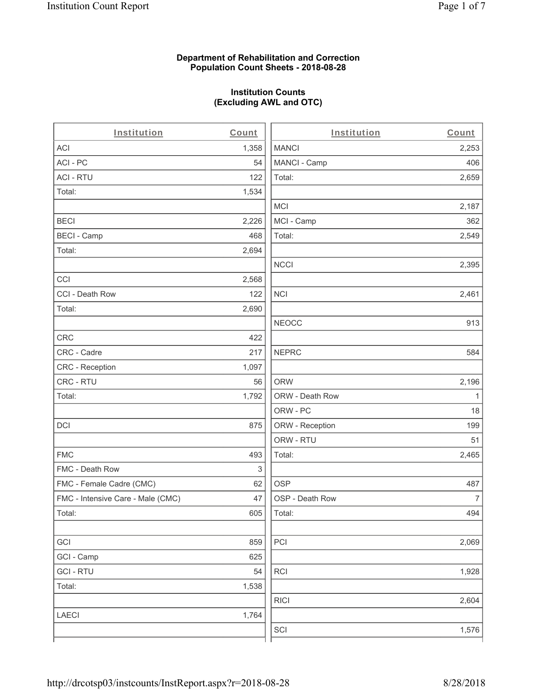#### **Department of Rehabilitation and Correction Population Count Sheets - 2018-08-28**

## **Institution Counts (Excluding AWL and OTC)**

 $\overline{a}$ .

| Institution                       | Count | Institution     | Count        |
|-----------------------------------|-------|-----------------|--------------|
| <b>ACI</b>                        | 1,358 | <b>MANCI</b>    | 2,253        |
| ACI-PC                            | 54    | MANCI - Camp    | 406          |
| <b>ACI - RTU</b>                  | 122   | Total:          | 2,659        |
| Total:                            | 1,534 |                 |              |
|                                   |       | MCI             | 2,187        |
| <b>BECI</b>                       | 2,226 | MCI - Camp      | 362          |
| <b>BECI - Camp</b>                | 468   | Total:          | 2,549        |
| Total:                            | 2,694 |                 |              |
|                                   |       | <b>NCCI</b>     | 2,395        |
| CCI                               | 2,568 |                 |              |
| CCI - Death Row                   | 122   | <b>NCI</b>      | 2,461        |
| Total:                            | 2,690 |                 |              |
|                                   |       | <b>NEOCC</b>    | 913          |
| <b>CRC</b>                        | 422   |                 |              |
| CRC - Cadre                       | 217   | <b>NEPRC</b>    | 584          |
| CRC - Reception                   | 1,097 |                 |              |
| CRC - RTU                         | 56    | <b>ORW</b>      | 2,196        |
| Total:                            | 1,792 | ORW - Death Row | $\mathbf{1}$ |
|                                   |       | ORW - PC        | 18           |
| DCI                               | 875   | ORW - Reception | 199          |
|                                   |       | ORW - RTU       | 51           |
| <b>FMC</b>                        | 493   | Total:          | 2,465        |
| FMC - Death Row                   | 3     |                 |              |
| FMC - Female Cadre (CMC)          | 62    | <b>OSP</b>      | 487          |
| FMC - Intensive Care - Male (CMC) | 47    | OSP - Death Row | 7            |
| Total:                            | 605   | Total:          | 494          |
|                                   |       |                 |              |
| GCI                               | 859   | PCI             | 2,069        |
| GCI - Camp                        | 625   |                 |              |
| <b>GCI-RTU</b>                    | 54    | <b>RCI</b>      | 1,928        |
| Total:                            | 1,538 |                 |              |
|                                   |       | <b>RICI</b>     | 2,604        |
| <b>LAECI</b>                      | 1,764 |                 |              |
|                                   |       | SCI             | 1,576        |
|                                   |       |                 |              |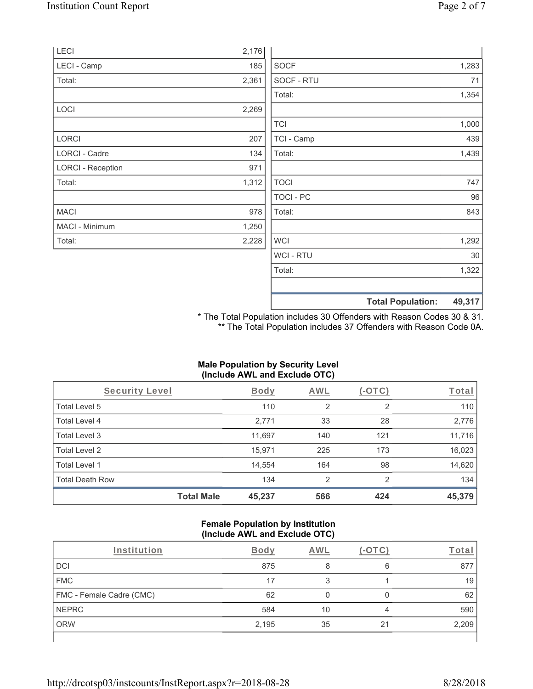|                          |       | <b>Total Population:</b> | 49,317 |
|--------------------------|-------|--------------------------|--------|
|                          |       |                          |        |
|                          |       | Total:                   | 1,322  |
|                          |       | WCI - RTU                | 30     |
| Total:                   | 2,228 | <b>WCI</b>               | 1,292  |
| MACI - Minimum           | 1,250 |                          |        |
| <b>MACI</b>              | 978   | Total:                   | 843    |
|                          |       | TOCI - PC                | 96     |
| Total:                   | 1,312 | <b>TOCI</b>              | 747    |
| <b>LORCI - Reception</b> | 971   |                          |        |
| LORCI - Cadre            | 134   | Total:                   | 1,439  |
| <b>LORCI</b>             | 207   | TCI - Camp               | 439    |
|                          |       | <b>TCI</b>               | 1,000  |
| LOCI                     | 2,269 |                          |        |
|                          |       | Total:                   | 1,354  |
| Total:                   | 2,361 | SOCF - RTU               | 71     |
| LECI - Camp              | 185   | <b>SOCF</b>              | 1,283  |
| LECI                     | 2,176 |                          |        |

\* The Total Population includes 30 Offenders with Reason Codes 30 & 31. \*\* The Total Population includes 37 Offenders with Reason Code 0A.

# **Male Population by Security Level (Include AWL and Exclude OTC)**

| Security Level         |                   | Body   | AWL            | $(-\overline{OTC})$ | Total  |
|------------------------|-------------------|--------|----------------|---------------------|--------|
| Total Level 5          |                   | 110    | 2              | 2                   | 110    |
| <b>Total Level 4</b>   |                   | 2,771  | 33             | 28                  | 2,776  |
| Total Level 3          |                   | 11,697 | 140            | 121                 | 11,716 |
| Total Level 2          |                   | 15,971 | 225            | 173                 | 16,023 |
| Total Level 1          |                   | 14,554 | 164            | 98                  | 14,620 |
| <b>Total Death Row</b> |                   | 134    | $\overline{2}$ | 2                   | 134    |
|                        | <b>Total Male</b> | 45,237 | 566            | 424                 | 45,379 |

#### **Female Population by Institution (Include AWL and Exclude OTC)**

| Institution              | Bodv  | AWL |    | ⊺ota  |
|--------------------------|-------|-----|----|-------|
| DCI                      | 875   |     | 6  | 877   |
| <b>FMC</b>               | 17    |     |    | 19    |
| FMC - Female Cadre (CMC) | 62    |     |    | 62    |
| <b>NEPRC</b>             | 584   | 10  | 4  | 590   |
| <b>ORW</b>               | 2,195 | 35  | 21 | 2,209 |
|                          |       |     |    |       |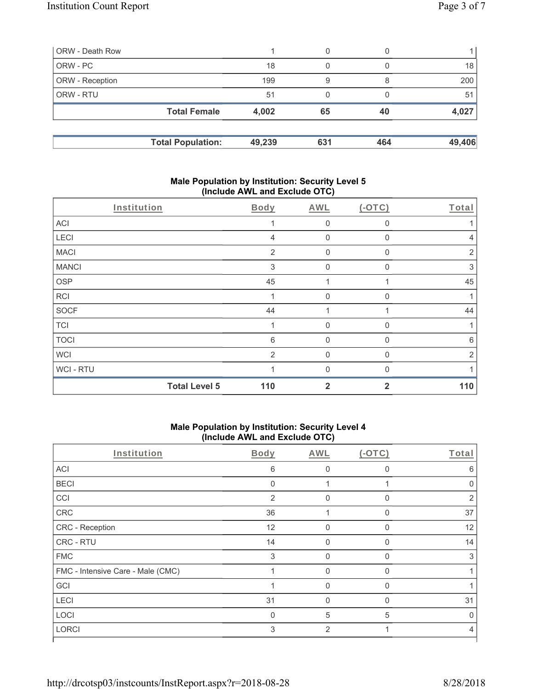| ORW - Death Row        |                          |        | 0   |     |        |
|------------------------|--------------------------|--------|-----|-----|--------|
| ORW-PC                 |                          | 18     |     |     | 18     |
| <b>ORW</b> - Reception |                          | 199    | 9   |     | 200    |
| <b>ORW - RTU</b>       |                          | 51     |     |     | 51     |
|                        | <b>Total Female</b>      | 4,002  | 65  | 40  | 4,027  |
|                        | <b>Total Population:</b> | 49,239 | 631 | 464 | 49,406 |

#### **Male Population by Institution: Security Level 5 (Include AWL and Exclude OTC)**

| Institution  |                      | Body           | AWL          | $(-OTC)$     | Total          |
|--------------|----------------------|----------------|--------------|--------------|----------------|
| ACI          |                      |                | $\mathbf 0$  | 0            |                |
| LECI         |                      | $\overline{4}$ | $\mathbf 0$  | 0            | 4              |
| <b>MACI</b>  |                      | $\overline{2}$ | $\mathbf 0$  | 0            | $\overline{2}$ |
| <b>MANCI</b> |                      | 3              | $\mathbf 0$  | 0            | 3              |
| <b>OSP</b>   |                      | 45             | 1            |              | 45             |
| <b>RCI</b>   |                      |                | $\mathbf{0}$ | 0            |                |
| <b>SOCF</b>  |                      | 44             | 4            |              | 44             |
| <b>TCI</b>   |                      |                | $\mathbf{0}$ | $\Omega$     | 1              |
| <b>TOCI</b>  |                      | 6              | $\mathbf 0$  | $\mathbf{0}$ | 6              |
| <b>WCI</b>   |                      | 2              | $\mathbf{0}$ | 0            | $\overline{2}$ |
| WCI - RTU    |                      |                | $\Omega$     | ∩            |                |
|              | <b>Total Level 5</b> | 110            | $\mathbf{2}$ | 2            | 110            |

# **Male Population by Institution: Security Level 4 (Include AWL and Exclude OTC)**

| Institution                       | Body           | AWL          | $(-OTC)$     | Total |
|-----------------------------------|----------------|--------------|--------------|-------|
| ACI                               | 6              | O            | $\Omega$     | 6     |
| <b>BECI</b>                       | $\mathbf 0$    |              |              | O     |
| CCI                               | $\overline{2}$ | $\Omega$     | $\Omega$     | 2     |
| CRC                               | 36             |              | $\mathbf{0}$ | 37    |
| CRC - Reception                   | 12             | $\mathbf{0}$ | $\Omega$     | 12    |
| CRC - RTU                         | 14             | $\mathbf 0$  | $\mathbf{0}$ | 14    |
| <b>FMC</b>                        | 3              | $\Omega$     | $\Omega$     | 3     |
| FMC - Intensive Care - Male (CMC) |                | $\Omega$     | $\mathbf{0}$ |       |
| GCI                               |                | $\Omega$     | $\Omega$     |       |
| LECI                              | 31             | $\Omega$     | $\Omega$     | 31    |
| LOCI                              | $\Omega$       | 5            | 5            |       |
| <b>LORCI</b>                      | 3              | 2            |              | 4     |
|                                   |                |              |              |       |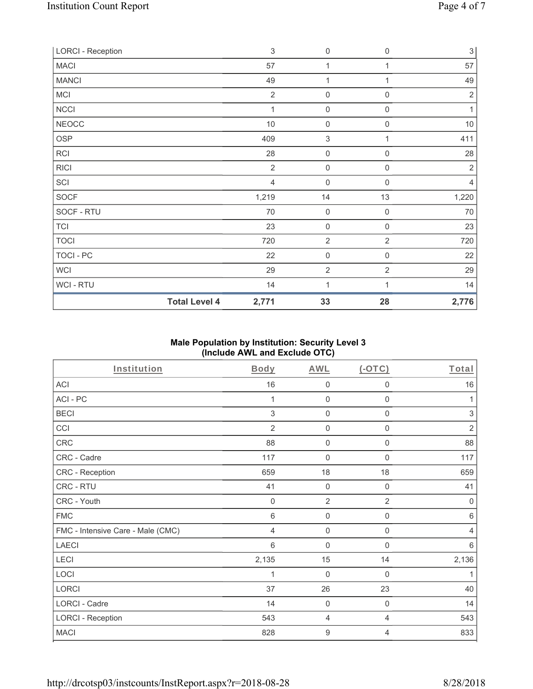| <b>LORCI - Reception</b> |                      | $\sqrt{3}$     | $\mathsf{O}\xspace$ | 0                   | 3 <sup>1</sup> |
|--------------------------|----------------------|----------------|---------------------|---------------------|----------------|
| <b>MACI</b>              |                      | 57             | $\mathbf{1}$        | 1                   | 57             |
| <b>MANCI</b>             |                      | 49             | 1                   |                     | 49             |
| MCI                      |                      | $\overline{2}$ | $\mathbf 0$         | $\mathbf 0$         | $\overline{2}$ |
| <b>NCCI</b>              |                      | 1              | $\mathsf{O}\xspace$ | 0                   | 1              |
| <b>NEOCC</b>             |                      | $10$           | $\mathsf{O}\xspace$ | $\mathsf{O}\xspace$ | $10$           |
| OSP                      |                      | 409            | $\,$ 3 $\,$         | 1                   | 411            |
| RCI                      |                      | 28             | $\mathsf{O}\xspace$ | 0                   | 28             |
| <b>RICI</b>              |                      | $\overline{2}$ | $\boldsymbol{0}$    | 0                   | $\overline{2}$ |
| SCI                      |                      | $\overline{4}$ | $\boldsymbol{0}$    | $\mathbf 0$         | 4              |
| SOCF                     |                      | 1,219          | 14                  | 13                  | 1,220          |
| SOCF - RTU               |                      | 70             | $\mathbf 0$         | $\mathbf 0$         | 70             |
| <b>TCI</b>               |                      | 23             | $\mathsf{O}\xspace$ | $\mathsf{O}\xspace$ | 23             |
| <b>TOCI</b>              |                      | 720            | $\overline{2}$      | $\overline{2}$      | 720            |
| TOCI - PC                |                      | 22             | $\mathbf 0$         | $\mathsf{O}\xspace$ | 22             |
| WCI                      |                      | 29             | $\overline{2}$      | $\overline{2}$      | 29             |
| WCI - RTU                |                      | 14             | 1                   |                     | 14             |
|                          | <b>Total Level 4</b> | 2,771          | 33                  | 28                  | 2,776          |

### **Male Population by Institution: Security Level 3 (Include AWL and Exclude OTC)**

| Institution                       | Body           | <b>AWL</b>       | $($ -OTC $)$        | Total          |
|-----------------------------------|----------------|------------------|---------------------|----------------|
| <b>ACI</b>                        | 16             | $\mathbf 0$      | $\mathbf 0$         | 16             |
| ACI-PC                            | 1              | $\boldsymbol{0}$ | $\mathbf 0$         | 1              |
| <b>BECI</b>                       | 3              | $\mathbf 0$      | $\mathbf 0$         | $\sqrt{3}$     |
| CCI                               | $\overline{2}$ | $\mathbf 0$      | $\mathbf 0$         | $\sqrt{2}$     |
| <b>CRC</b>                        | 88             | $\mathbf 0$      | $\boldsymbol{0}$    | 88             |
| CRC - Cadre                       | 117            | $\mathbf 0$      | $\mathbf 0$         | 117            |
| CRC - Reception                   | 659            | 18               | 18                  | 659            |
| CRC - RTU                         | 41             | $\mathbf 0$      | $\mathsf{O}\xspace$ | 41             |
| CRC - Youth                       | $\mathbf 0$    | $\overline{2}$   | $\overline{2}$      | $\mathbf 0$    |
| <b>FMC</b>                        | 6              | $\mathbf 0$      | $\boldsymbol{0}$    | 6              |
| FMC - Intensive Care - Male (CMC) | 4              | $\boldsymbol{0}$ | $\boldsymbol{0}$    | $\overline{4}$ |
| <b>LAECI</b>                      | 6              | $\boldsymbol{0}$ | $\boldsymbol{0}$    | $\,6\,$        |
| LECI                              | 2,135          | 15               | 14                  | 2,136          |
| LOCI                              |                | $\mathbf 0$      | 0                   | 1              |
| LORCI                             | 37             | 26               | 23                  | 40             |
| LORCI - Cadre                     | 14             | $\mathbf 0$      | $\boldsymbol{0}$    | 14             |
| <b>LORCI - Reception</b>          | 543            | 4                | $\overline{4}$      | 543            |
| <b>MACI</b>                       | 828            | $9$              | 4                   | 833            |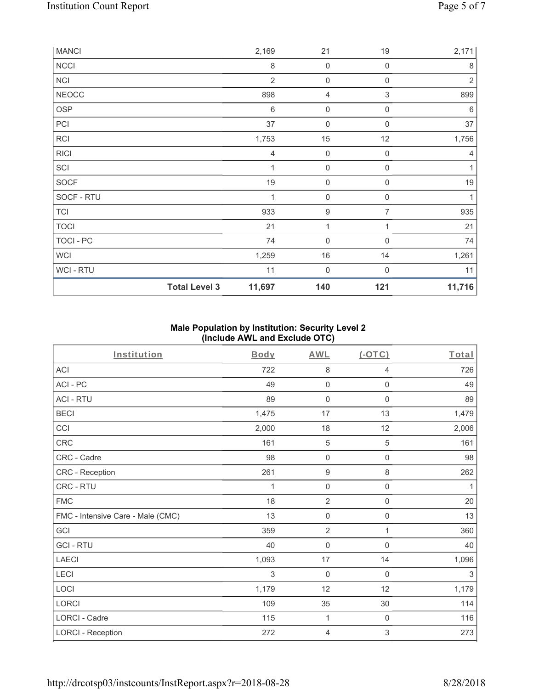| <b>MANCI</b> |                      | 2,169           | 21                  | 19                        | 2,171          |
|--------------|----------------------|-----------------|---------------------|---------------------------|----------------|
| <b>NCCI</b>  |                      | $\,8\,$         | $\mathbf 0$         | $\mathbf 0$               | 8              |
| NCI          |                      | $\overline{2}$  | $\mathbf 0$         | $\mathbf 0$               | $\overline{2}$ |
| <b>NEOCC</b> |                      | 898             | 4                   | $\ensuremath{\mathsf{3}}$ | 899            |
| <b>OSP</b>   |                      | $6\phantom{1}6$ | $\mathbf 0$         | $\mathbf 0$               | 6              |
| PCI          |                      | 37              | $\mathsf{O}\xspace$ | $\mathbf 0$               | 37             |
| <b>RCI</b>   |                      | 1,753           | $15\,$              | 12                        | 1,756          |
| <b>RICI</b>  |                      | 4               | $\mathbf 0$         | $\mathbf 0$               | 4              |
| SCI          |                      | 1               | $\mathbf 0$         | $\mathbf 0$               | 1              |
| SOCF         |                      | 19              | 0                   | $\mathbf 0$               | 19             |
| SOCF - RTU   |                      | 1               | $\mathbf 0$         | $\mathbf 0$               | 1              |
| <b>TCI</b>   |                      | 933             | 9                   | 7                         | 935            |
| <b>TOCI</b>  |                      | 21              | 1                   |                           | 21             |
| TOCI - PC    |                      | 74              | 0                   | $\mathbf 0$               | 74             |
| <b>WCI</b>   |                      | 1,259           | 16                  | 14                        | 1,261          |
| WCI - RTU    |                      | 11              | $\mathbf 0$         | $\mathbf 0$               | 11             |
|              | <b>Total Level 3</b> | 11,697          | 140                 | 121                       | 11,716         |

# **Male Population by Institution: Security Level 2 (Include AWL and Exclude OTC)**

| Institution                       | <b>Body</b> | <b>AWL</b>          | (OTC)               | Total |
|-----------------------------------|-------------|---------------------|---------------------|-------|
| <b>ACI</b>                        | 722         | 8                   | 4                   | 726   |
| ACI-PC                            | 49          | $\mathbf 0$         | 0                   | 49    |
| <b>ACI - RTU</b>                  | 89          | $\mathsf{O}\xspace$ | $\mathbf 0$         | 89    |
| <b>BECI</b>                       | 1,475       | 17                  | 13                  | 1,479 |
| CCI                               | 2,000       | 18                  | 12                  | 2,006 |
| CRC                               | 161         | 5                   | 5                   | 161   |
| CRC - Cadre                       | 98          | $\mathsf{O}\xspace$ | $\mathsf{O}\xspace$ | 98    |
| CRC - Reception                   | 261         | $\boldsymbol{9}$    | 8                   | 262   |
| CRC - RTU                         | 1           | $\mathsf{O}\xspace$ | $\mathsf 0$         | 1     |
| <b>FMC</b>                        | 18          | $\sqrt{2}$          | $\mathsf{O}\xspace$ | 20    |
| FMC - Intensive Care - Male (CMC) | 13          | $\mathsf{O}\xspace$ | 0                   | 13    |
| GCI                               | 359         | $\overline{2}$      | 1                   | 360   |
| <b>GCI-RTU</b>                    | 40          | 0                   | $\mathsf 0$         | 40    |
| <b>LAECI</b>                      | 1,093       | 17                  | 14                  | 1,096 |
| LECI                              | 3           | $\mathbf 0$         | $\mathsf 0$         | 3     |
| LOCI                              | 1,179       | 12                  | 12                  | 1,179 |
| LORCI                             | 109         | 35                  | $30\,$              | 114   |
| LORCI - Cadre                     | 115         | 1                   | 0                   | 116   |
| <b>LORCI - Reception</b>          | 272         | 4                   | 3                   | 273   |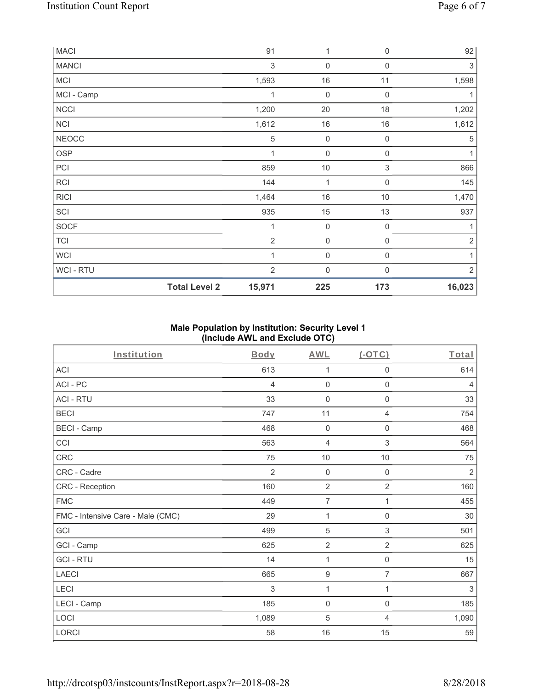| <b>MACI</b>    |                      | 91                        | 1                | 0                | 92         |
|----------------|----------------------|---------------------------|------------------|------------------|------------|
| <b>MANCI</b>   |                      | $\ensuremath{\mathsf{3}}$ | $\mathbf 0$      | $\mathbf 0$      | 3          |
| <b>MCI</b>     |                      | 1,593                     | 16               | 11               | 1,598      |
| MCI - Camp     |                      | 1                         | $\mathbf 0$      | $\mathbf 0$      | 1          |
| <b>NCCI</b>    |                      | 1,200                     | 20               | 18               | 1,202      |
| NCI            |                      | 1,612                     | $16$             | $16$             | 1,612      |
| <b>NEOCC</b>   |                      | 5                         | $\boldsymbol{0}$ | $\mathbf 0$      | 5          |
| OSP            |                      | $\mathbf 1$               | $\mathbf 0$      | $\mathsf 0$      | 1          |
| PCI            |                      | 859                       | $10$             | 3                | 866        |
| <b>RCI</b>     |                      | 144                       | 1                | $\mathbf 0$      | 145        |
| <b>RICI</b>    |                      | 1,464                     | $16$             | 10               | 1,470      |
| SCI            |                      | 935                       | 15               | 13               | 937        |
| SOCF           |                      | 1                         | $\mathbf 0$      | $\mathbf 0$      | 1          |
| <b>TCI</b>     |                      | $\overline{2}$            | $\boldsymbol{0}$ | $\mathbf 0$      | $\sqrt{2}$ |
| <b>WCI</b>     |                      | 1                         | $\mathbf 0$      | $\boldsymbol{0}$ | 1          |
| <b>WCI-RTU</b> |                      | $\overline{2}$            | $\mathbf 0$      | $\Omega$         | $\sqrt{2}$ |
|                | <b>Total Level 2</b> | 15,971                    | 225              | 173              | 16,023     |

### **Male Population by Institution: Security Level 1 (Include AWL and Exclude OTC)**

| Institution                       | Body           | AWL                 | $(-OTC)$            | Total          |
|-----------------------------------|----------------|---------------------|---------------------|----------------|
| <b>ACI</b>                        | 613            | 1                   | 0                   | 614            |
| ACI-PC                            | 4              | $\mathbf 0$         | 0                   | $\overline{4}$ |
| <b>ACI - RTU</b>                  | 33             | $\mathsf{O}\xspace$ | $\mathsf{O}\xspace$ | 33             |
| <b>BECI</b>                       | 747            | 11                  | 4                   | 754            |
| <b>BECI - Camp</b>                | 468            | $\mathsf{O}\xspace$ | 0                   | 468            |
| CCI                               | 563            | $\overline{4}$      | $\,$ 3 $\,$         | 564            |
| CRC                               | 75             | $10$                | $10$                | 75             |
| CRC - Cadre                       | $\overline{2}$ | $\boldsymbol{0}$    | $\mathbf 0$         | $\sqrt{2}$     |
| CRC - Reception                   | 160            | $\overline{2}$      | $\overline{2}$      | 160            |
| <b>FMC</b>                        | 449            | $\overline{7}$      | 1                   | 455            |
| FMC - Intensive Care - Male (CMC) | 29             | 1                   | 0                   | $30\,$         |
| GCI                               | 499            | $\,$ 5 $\,$         | $\,$ 3 $\,$         | 501            |
| GCI - Camp                        | 625            | $\overline{2}$      | $\overline{2}$      | 625            |
| <b>GCI-RTU</b>                    | 14             | 1                   | 0                   | 15             |
| <b>LAECI</b>                      | 665            | $\boldsymbol{9}$    | $\overline{7}$      | 667            |
| LECI                              | 3              | 1                   | 1                   | 3              |
| LECI - Camp                       | 185            | $\mathbf 0$         | $\mathsf{O}\xspace$ | 185            |
| LOCI                              | 1,089          | 5                   | $\overline{4}$      | 1,090          |
| LORCI                             | 58             | 16                  | 15                  | 59             |